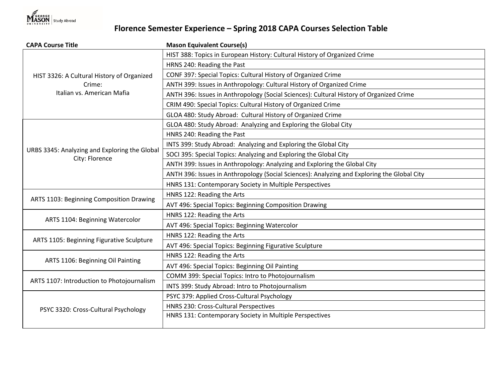

## **Florence Semester Experience – Spring 2018 CAPA Courses Selection Table**

| <b>CAPA Course Title</b>                                                           | <b>Mason Equivalent Course(s)</b>                                                           |
|------------------------------------------------------------------------------------|---------------------------------------------------------------------------------------------|
| HIST 3326: A Cultural History of Organized<br>Crime:<br>Italian vs. American Mafia | HIST 388: Topics in European History: Cultural History of Organized Crime                   |
|                                                                                    | HRNS 240: Reading the Past                                                                  |
|                                                                                    | CONF 397: Special Topics: Cultural History of Organized Crime                               |
|                                                                                    | ANTH 399: Issues in Anthropology: Cultural History of Organized Crime                       |
|                                                                                    | ANTH 396: Issues in Anthropology (Social Sciences): Cultural History of Organized Crime     |
|                                                                                    | CRIM 490: Special Topics: Cultural History of Organized Crime                               |
|                                                                                    | GLOA 480: Study Abroad: Cultural History of Organized Crime                                 |
| URBS 3345: Analyzing and Exploring the Global<br>City: Florence                    | GLOA 480: Study Abroad: Analyzing and Exploring the Global City                             |
|                                                                                    | HNRS 240: Reading the Past                                                                  |
|                                                                                    | INTS 399: Study Abroad: Analyzing and Exploring the Global City                             |
|                                                                                    | SOCI 395: Special Topics: Analyzing and Exploring the Global City                           |
|                                                                                    | ANTH 399: Issues in Anthropology: Analyzing and Exploring the Global City                   |
|                                                                                    | ANTH 396: Issues in Anthropology (Social Sciences): Analyzing and Exploring the Global City |
|                                                                                    | HNRS 131: Contemporary Society in Multiple Perspectives                                     |
| ARTS 1103: Beginning Composition Drawing                                           | HNRS 122: Reading the Arts                                                                  |
|                                                                                    | AVT 496: Special Topics: Beginning Composition Drawing                                      |
| ARTS 1104: Beginning Watercolor                                                    | HNRS 122: Reading the Arts                                                                  |
|                                                                                    | AVT 496: Special Topics: Beginning Watercolor                                               |
| ARTS 1105: Beginning Figurative Sculpture                                          | HNRS 122: Reading the Arts                                                                  |
|                                                                                    | AVT 496: Special Topics: Beginning Figurative Sculpture                                     |
| ARTS 1106: Beginning Oil Painting                                                  | HNRS 122: Reading the Arts                                                                  |
|                                                                                    | AVT 496: Special Topics: Beginning Oil Painting                                             |
| ARTS 1107: Introduction to Photojournalism                                         | COMM 399: Special Topics: Intro to Photojournalism                                          |
|                                                                                    | INTS 399: Study Abroad: Intro to Photojournalism                                            |
| PSYC 3320: Cross-Cultural Psychology                                               | PSYC 379: Applied Cross-Cultural Psychology                                                 |
|                                                                                    | HNRS 230: Cross-Cultural Perspectives                                                       |
|                                                                                    | HNRS 131: Contemporary Society in Multiple Perspectives                                     |
|                                                                                    |                                                                                             |